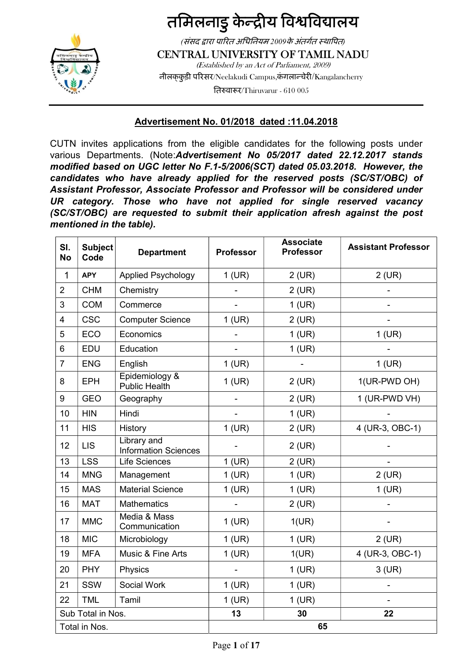

# तमिलनाडु केन्द्रीय विश्वविद्यालय

(संसद द्वारा पारित अधिनियम 2009के अंतर्गत स्थापित) CENTRAL UNIVERSITY OF TAMIL NADU (Established by an Act of Parliament, 2009) नीलककुड़ी परिसर/Neelakudi Campus,कंगलान्चेरी/Kangalancherry ितǽवाǾर/Thiruvarur - 610 005

## Advertisement No. 01/2018 dated :11.04.2018

CUTN invites applications from the eligible candidates for the following posts under various Departments. (Note: Advertisement No 05/2017 dated 22.12.2017 stands modified based on UGC letter No F.1-5/2006(SCT) dated 05.03.2018. However, the candidates who have already applied for the reserved posts (SC/ST/OBC) of Assistant Professor, Associate Professor and Professor will be considered under UR category. Those who have not applied for single reserved vacancy (SC/ST/OBC) are requested to submit their application afresh against the post mentioned in the table).

| SI.<br><b>No</b>  | <b>Subject</b><br>Code | <b>Department</b>                          | <b>Professor</b> | <b>Associate</b><br><b>Professor</b> | <b>Assistant Professor</b> |
|-------------------|------------------------|--------------------------------------------|------------------|--------------------------------------|----------------------------|
| $\mathbf{1}$      | <b>APY</b>             | <b>Applied Psychology</b>                  | $1$ (UR)         | $2$ (UR)                             | $2$ (UR)                   |
| $\overline{2}$    | <b>CHM</b>             | Chemistry                                  |                  | $2$ (UR)                             |                            |
| 3                 | <b>COM</b>             | Commerce                                   | $\blacksquare$   | $1$ (UR)                             |                            |
| $\overline{4}$    | <b>CSC</b>             | <b>Computer Science</b>                    | $1$ (UR)         | $2$ (UR)                             |                            |
| 5                 | <b>ECO</b>             | Economics                                  |                  | $1$ (UR)                             | $1$ (UR)                   |
| 6                 | EDU                    | Education                                  |                  | $1$ (UR)                             |                            |
| $\overline{7}$    | <b>ENG</b>             | English                                    | $1$ (UR)         |                                      | $1$ (UR)                   |
| 8                 | <b>EPH</b>             | Epidemiology &<br><b>Public Health</b>     | $1$ (UR)         | $2$ (UR)                             | 1(UR-PWD OH)               |
| 9                 | <b>GEO</b>             | Geography                                  |                  | $2$ (UR)                             | 1 (UR-PWD VH)              |
| 10                | <b>HIN</b>             | Hindi                                      |                  | $1$ (UR)                             |                            |
| 11                | <b>HIS</b>             | <b>History</b>                             | $1$ (UR)         | $2$ (UR)                             | 4 (UR-3, OBC-1)            |
| 12                | <b>LIS</b>             | Library and<br><b>Information Sciences</b> |                  | $2$ (UR)                             |                            |
| 13                | <b>LSS</b>             | <b>Life Sciences</b>                       | $1$ (UR)         | $2$ (UR)                             |                            |
| 14                | <b>MNG</b>             | Management                                 | $1$ (UR)         | $1$ (UR)                             | $2$ (UR)                   |
| 15                | <b>MAS</b>             | <b>Material Science</b>                    | $1$ (UR)         | $1$ (UR)                             | $1$ (UR)                   |
| 16                | <b>MAT</b>             | Mathematics                                |                  | $2$ (UR)                             |                            |
| 17                | <b>MMC</b>             | Media & Mass<br>Communication              | $1$ (UR)         | 1(UR)                                |                            |
| 18                | <b>MIC</b>             | Microbiology                               | $1$ (UR)         | $1$ (UR)                             | $2$ (UR)                   |
| 19                | <b>MFA</b>             | Music & Fine Arts                          | $1$ (UR)         | 1(UR)                                | 4 (UR-3, OBC-1)            |
| 20                | <b>PHY</b>             | Physics                                    |                  | $1$ (UR)                             | $3$ (UR)                   |
| 21                | SSW                    | <b>Social Work</b>                         | $1$ (UR)         | $1$ (UR)                             |                            |
| 22                | <b>TML</b>             | Tamil                                      | $1$ (UR)         | $1$ (UR)                             | $\blacksquare$             |
| Sub Total in Nos. |                        |                                            | 13               | 30                                   | 22                         |
| Total in Nos.     |                        |                                            | 65               |                                      |                            |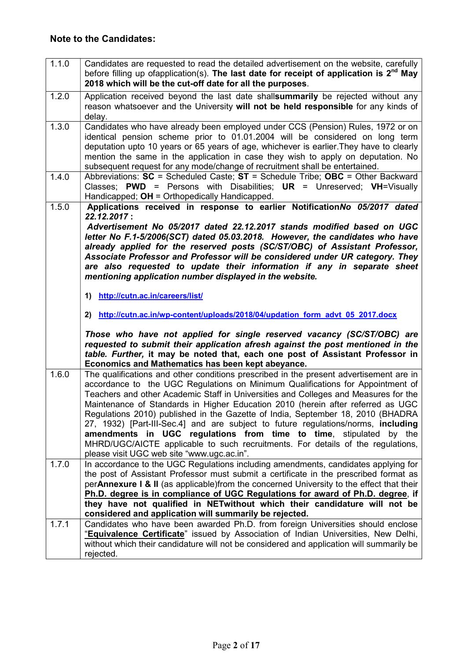| 1.1.0 | Candidates are requested to read the detailed advertisement on the website, carefully<br>before filling up ofapplication(s). The last date for receipt of application is $2^{nd}$ May<br>2018 which will be the cut-off date for all the purposes.                                                                                                                                                                                                                                                                                                                                                                                                                                                                                |
|-------|-----------------------------------------------------------------------------------------------------------------------------------------------------------------------------------------------------------------------------------------------------------------------------------------------------------------------------------------------------------------------------------------------------------------------------------------------------------------------------------------------------------------------------------------------------------------------------------------------------------------------------------------------------------------------------------------------------------------------------------|
| 1.2.0 | Application received beyond the last date shallsummarily be rejected without any<br>reason whatsoever and the University will not be held responsible for any kinds of<br>delay.                                                                                                                                                                                                                                                                                                                                                                                                                                                                                                                                                  |
| 1.3.0 | Candidates who have already been employed under CCS (Pension) Rules, 1972 or on<br>identical pension scheme prior to 01.01.2004 will be considered on long term<br>deputation upto 10 years or 65 years of age, whichever is earlier. They have to clearly<br>mention the same in the application in case they wish to apply on deputation. No<br>subsequent request for any mode/change of recruitment shall be entertained.                                                                                                                                                                                                                                                                                                     |
| 1.4.0 | Abbreviations: $SC =$ Scheduled Caste; $ST =$ Schedule Tribe; OBC = Other Backward<br>Classes; PWD = Persons with Disabilities; UR = Unreserved; VH=Visually<br>Handicapped; OH = Orthopedically Handicapped.                                                                                                                                                                                                                                                                                                                                                                                                                                                                                                                     |
| 1.5.0 | Applications received in response to earlier NotificationNo 05/2017 dated<br>22.12.2017:<br>Advertisement No 05/2017 dated 22.12.2017 stands modified based on UGC<br>letter No F.1-5/2006(SCT) dated 05.03.2018. However, the candidates who have<br>already applied for the reserved posts (SC/ST/OBC) of Assistant Professor,<br>Associate Professor and Professor will be considered under UR category. They<br>are also requested to update their information if any in separate sheet<br>mentioning application number displayed in the website.                                                                                                                                                                            |
|       | http://cutn.ac.in/careers/list/<br>1)                                                                                                                                                                                                                                                                                                                                                                                                                                                                                                                                                                                                                                                                                             |
|       | http://cutn.ac.in/wp-content/uploads/2018/04/updation_form_advt_05_2017.docx<br>2)                                                                                                                                                                                                                                                                                                                                                                                                                                                                                                                                                                                                                                                |
|       | Those who have not applied for single reserved vacancy (SC/ST/OBC) are<br>requested to submit their application afresh against the post mentioned in the<br>table. Further, it may be noted that, each one post of Assistant Professor in<br>Economics and Mathematics has been kept abeyance.                                                                                                                                                                                                                                                                                                                                                                                                                                    |
| 1.6.0 | The qualifications and other conditions prescribed in the present advertisement are in<br>accordance to the UGC Regulations on Minimum Qualifications for Appointment of<br>Teachers and other Academic Staff in Universities and Colleges and Measures for the<br>Maintenance of Standards in Higher Education 2010 (herein after referred as UGC<br>Regulations 2010) published in the Gazette of India, September 18, 2010 (BHADRA<br>27, 1932) [Part-III-Sec.4] and are subject to future regulations/norms, including<br>amendments in UGC regulations from time to time, stipulated by the<br>MHRD/UGC/AICTE applicable to such recruitments. For details of the regulations,<br>please visit UGC web site "www.ugc.ac.in". |
| 1.7.0 | In accordance to the UGC Regulations including amendments, candidates applying for<br>the post of Assistant Professor must submit a certificate in the prescribed format as                                                                                                                                                                                                                                                                                                                                                                                                                                                                                                                                                       |
|       | perAnnexure I & II (as applicable) from the concerned University to the effect that their<br>Ph.D. degree is in compliance of UGC Regulations for award of Ph.D. degree, if<br>they have not qualified in NETwithout which their candidature will not be<br>considered and application will summarily be rejected.                                                                                                                                                                                                                                                                                                                                                                                                                |
| 1.7.1 | Candidates who have been awarded Ph.D. from foreign Universities should enclose<br>"Equivalence Certificate" issued by Association of Indian Universities, New Delhi,<br>without which their candidature will not be considered and application will summarily be<br>rejected.                                                                                                                                                                                                                                                                                                                                                                                                                                                    |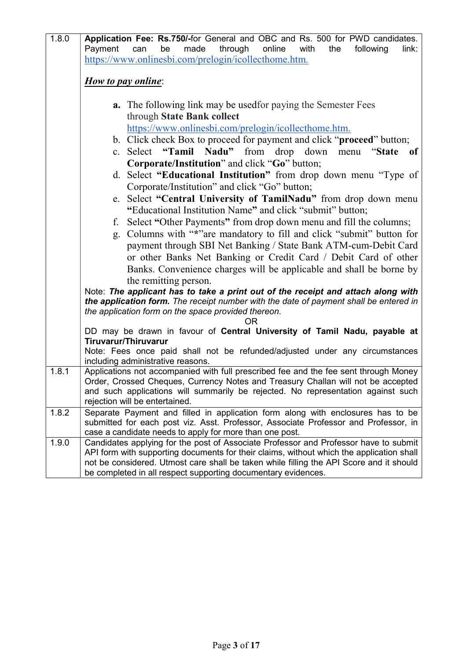| 1.8.0 | Application Fee: Rs.750/-for General and OBC and Rs. 500 for PWD candidates.                                                                                                                                                                                                                                                                 |
|-------|----------------------------------------------------------------------------------------------------------------------------------------------------------------------------------------------------------------------------------------------------------------------------------------------------------------------------------------------|
|       | online<br>Payment<br>can<br>be<br>made<br>through<br>with<br>the<br>following<br>link:<br>https://www.onlinesbi.com/prelogin/icollecthome.htm.                                                                                                                                                                                               |
|       |                                                                                                                                                                                                                                                                                                                                              |
|       | <b>How to pay online:</b>                                                                                                                                                                                                                                                                                                                    |
|       | <b>a.</b> The following link may be used for paying the Semester Fees                                                                                                                                                                                                                                                                        |
|       | through State Bank collect                                                                                                                                                                                                                                                                                                                   |
|       | https://www.onlinesbi.com/prelogin/icollecthome.htm.                                                                                                                                                                                                                                                                                         |
|       | b. Click check Box to proceed for payment and click " <b>proceed</b> " button;                                                                                                                                                                                                                                                               |
|       | c. Select "Tamil Nadu" from drop down<br>menu<br><b>State</b><br>of                                                                                                                                                                                                                                                                          |
|       | Corporate/Institution" and click "Go" button;                                                                                                                                                                                                                                                                                                |
|       | d. Select "Educational Institution" from drop down menu "Type of<br>Corporate/Institution" and click "Go" button;                                                                                                                                                                                                                            |
|       | e. Select "Central University of TamilNadu" from drop down menu                                                                                                                                                                                                                                                                              |
|       | "Educational Institution Name" and click "submit" button;                                                                                                                                                                                                                                                                                    |
|       | Select "Other Payments" from drop down menu and fill the columns;<br>f.                                                                                                                                                                                                                                                                      |
|       | g. Columns with "*"are mandatory to fill and click "submit" button for                                                                                                                                                                                                                                                                       |
|       | payment through SBI Net Banking / State Bank ATM-cum-Debit Card                                                                                                                                                                                                                                                                              |
|       | or other Banks Net Banking or Credit Card / Debit Card of other                                                                                                                                                                                                                                                                              |
|       | Banks. Convenience charges will be applicable and shall be borne by                                                                                                                                                                                                                                                                          |
|       | the remitting person.                                                                                                                                                                                                                                                                                                                        |
|       | Note: The applicant has to take a print out of the receipt and attach along with<br>the application form. The receipt number with the date of payment shall be entered in<br>the application form on the space provided thereon.<br>OR.                                                                                                      |
|       | DD may be drawn in favour of Central University of Tamil Nadu, payable at                                                                                                                                                                                                                                                                    |
|       | <b>Tiruvarur/Thiruvarur</b>                                                                                                                                                                                                                                                                                                                  |
|       | Note: Fees once paid shall not be refunded/adjusted under any circumstances                                                                                                                                                                                                                                                                  |
| 1.8.1 | including administrative reasons.<br>Applications not accompanied with full prescribed fee and the fee sent through Money                                                                                                                                                                                                                    |
|       | Order, Crossed Cheques, Currency Notes and Treasury Challan will not be accepted<br>and such applications will summarily be rejected. No representation against such<br>rejection will be entertained.                                                                                                                                       |
| 1.8.2 | Separate Payment and filled in application form along with enclosures has to be<br>submitted for each post viz. Asst. Professor, Associate Professor and Professor, in<br>case a candidate needs to apply for more than one post.                                                                                                            |
| 1.9.0 | Candidates applying for the post of Associate Professor and Professor have to submit<br>API form with supporting documents for their claims, without which the application shall<br>not be considered. Utmost care shall be taken while filling the API Score and it should<br>be completed in all respect supporting documentary evidences. |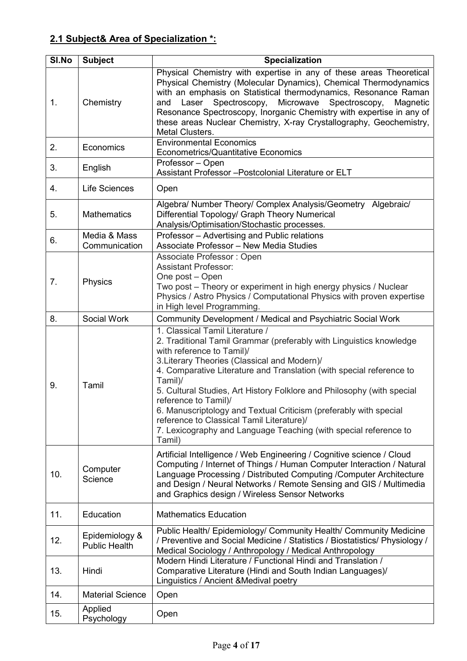# 2.1 Subject& Area of Specialization \*:

| SI.No | <b>Subject</b>                         | <b>Specialization</b>                                                                                                                                                                                                                                                                                                                                                                                                                                                                                                                                                    |
|-------|----------------------------------------|--------------------------------------------------------------------------------------------------------------------------------------------------------------------------------------------------------------------------------------------------------------------------------------------------------------------------------------------------------------------------------------------------------------------------------------------------------------------------------------------------------------------------------------------------------------------------|
| 1.    | Chemistry                              | Physical Chemistry with expertise in any of these areas Theoretical<br>Physical Chemistry (Molecular Dynamics), Chemical Thermodynamics<br>with an emphasis on Statistical thermodynamics, Resonance Raman<br>Microwave Spectroscopy,<br>Laser<br>Spectroscopy,<br>and<br>Magnetic<br>Resonance Spectroscopy, Inorganic Chemistry with expertise in any of<br>these areas Nuclear Chemistry, X-ray Crystallography, Geochemistry,<br>Metal Clusters.                                                                                                                     |
| 2.    | Economics                              | <b>Environmental Economics</b><br><b>Econometrics/Quantitative Economics</b>                                                                                                                                                                                                                                                                                                                                                                                                                                                                                             |
| 3.    | English                                | Professor - Open<br>Assistant Professor - Postcolonial Literature or ELT                                                                                                                                                                                                                                                                                                                                                                                                                                                                                                 |
| 4.    | <b>Life Sciences</b>                   | Open                                                                                                                                                                                                                                                                                                                                                                                                                                                                                                                                                                     |
| 5.    | <b>Mathematics</b>                     | Algebra/ Number Theory/ Complex Analysis/Geometry Algebraic/<br>Differential Topology/ Graph Theory Numerical<br>Analysis/Optimisation/Stochastic processes.                                                                                                                                                                                                                                                                                                                                                                                                             |
| 6.    | Media & Mass<br>Communication          | Professor - Advertising and Public relations<br>Associate Professor - New Media Studies                                                                                                                                                                                                                                                                                                                                                                                                                                                                                  |
| 7.    | Physics                                | Associate Professor: Open<br><b>Assistant Professor:</b><br>One post – Open<br>Two post - Theory or experiment in high energy physics / Nuclear<br>Physics / Astro Physics / Computational Physics with proven expertise<br>in High level Programming.                                                                                                                                                                                                                                                                                                                   |
| 8.    | Social Work                            | Community Development / Medical and Psychiatric Social Work                                                                                                                                                                                                                                                                                                                                                                                                                                                                                                              |
| 9.    | Tamil                                  | 1. Classical Tamil Literature /<br>2. Traditional Tamil Grammar (preferably with Linguistics knowledge<br>with reference to Tamil)/<br>3. Literary Theories (Classical and Modern)/<br>4. Comparative Literature and Translation (with special reference to<br>Tamil)/<br>5. Cultural Studies, Art History Folklore and Philosophy (with special<br>reference to Tamil)/<br>6. Manuscriptology and Textual Criticism (preferably with special<br>reference to Classical Tamil Literature)/<br>7. Lexicography and Language Teaching (with special reference to<br>Tamil) |
| 10.   | Computer<br>Science                    | Artificial Intelligence / Web Engineering / Cognitive science / Cloud<br>Computing / Internet of Things / Human Computer Interaction / Natural<br>Language Processing / Distributed Computing / Computer Architecture<br>and Design / Neural Networks / Remote Sensing and GIS / Multimedia<br>and Graphics design / Wireless Sensor Networks                                                                                                                                                                                                                            |
| 11.   | Education                              | <b>Mathematics Education</b>                                                                                                                                                                                                                                                                                                                                                                                                                                                                                                                                             |
| 12.   | Epidemiology &<br><b>Public Health</b> | Public Health/ Epidemiology/ Community Health/ Community Medicine<br>/ Preventive and Social Medicine / Statistics / Biostatistics/ Physiology /<br>Medical Sociology / Anthropology / Medical Anthropology                                                                                                                                                                                                                                                                                                                                                              |
| 13.   | Hindi                                  | Modern Hindi Literature / Functional Hindi and Translation /<br>Comparative Literature (Hindi and South Indian Languages)/<br>Linguistics / Ancient & Medival poetry                                                                                                                                                                                                                                                                                                                                                                                                     |
| 14.   | <b>Material Science</b>                | Open                                                                                                                                                                                                                                                                                                                                                                                                                                                                                                                                                                     |
| 15.   | Applied<br>Psychology                  | Open                                                                                                                                                                                                                                                                                                                                                                                                                                                                                                                                                                     |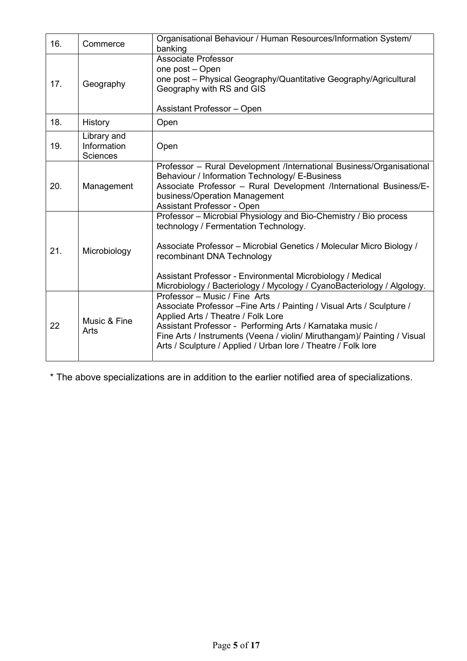| 16. | Commerce                                      | Organisational Behaviour / Human Resources/Information System/<br>banking                                                                                                                                                                                                                                                                               |
|-----|-----------------------------------------------|---------------------------------------------------------------------------------------------------------------------------------------------------------------------------------------------------------------------------------------------------------------------------------------------------------------------------------------------------------|
| 17. | Geography                                     | <b>Associate Professor</b><br>one post - Open<br>one post - Physical Geography/Quantitative Geography/Agricultural<br>Geography with RS and GIS<br>Assistant Professor - Open                                                                                                                                                                           |
| 18. | History                                       | Open                                                                                                                                                                                                                                                                                                                                                    |
| 19. | Library and<br>Information<br><b>Sciences</b> | Open                                                                                                                                                                                                                                                                                                                                                    |
| 20. | Management                                    | Professor - Rural Development /International Business/Organisational<br>Behaviour / Information Technology/ E-Business<br>Associate Professor - Rural Development /International Business/E-<br>business/Operation Management<br><b>Assistant Professor - Open</b>                                                                                      |
| 21. | Microbiology                                  | Professor - Microbial Physiology and Bio-Chemistry / Bio process<br>technology / Fermentation Technology.<br>Associate Professor - Microbial Genetics / Molecular Micro Biology /<br>recombinant DNA Technology<br>Assistant Professor - Environmental Microbiology / Medical<br>Microbiology / Bacteriology / Mycology / CyanoBacteriology / Algology. |
| 22  | Music & Fine<br>Arts                          | Professor - Music / Fine Arts<br>Associate Professor - Fine Arts / Painting / Visual Arts / Sculpture /<br>Applied Arts / Theatre / Folk Lore<br>Assistant Professor - Performing Arts / Karnataka music /<br>Fine Arts / Instruments (Veena / violin/ Miruthangam)/ Painting / Visual<br>Arts / Sculpture / Applied / Urban lore / Theatre / Folk lore |

\* The above specializations are in addition to the earlier notified area of specializations.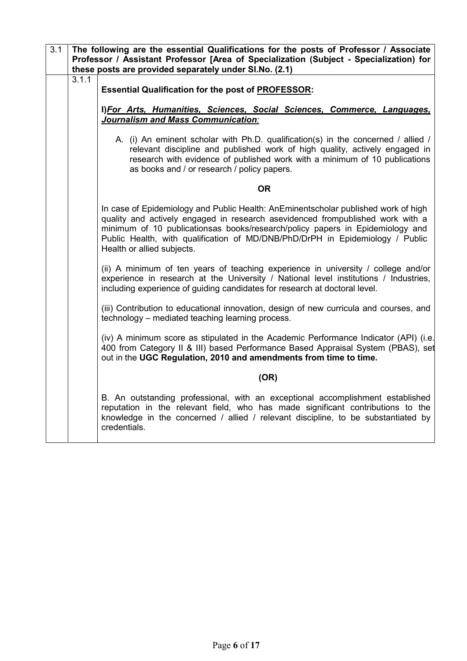| 3.1 | The following are the essential Qualifications for the posts of Professor / Associate<br>Professor / Assistant Professor [Area of Specialization (Subject - Specialization) for<br>these posts are provided separately under SI.No. (2.1) |                                                                                                                                                                                                                                                                                                                                                                      |  |
|-----|-------------------------------------------------------------------------------------------------------------------------------------------------------------------------------------------------------------------------------------------|----------------------------------------------------------------------------------------------------------------------------------------------------------------------------------------------------------------------------------------------------------------------------------------------------------------------------------------------------------------------|--|
|     | 3.1.1                                                                                                                                                                                                                                     | <b>Essential Qualification for the post of PROFESSOR:</b>                                                                                                                                                                                                                                                                                                            |  |
|     |                                                                                                                                                                                                                                           | I) For Arts, Humanities, Sciences, Social Sciences, Commerce, Languages,<br>Journalism and Mass Communication:                                                                                                                                                                                                                                                       |  |
|     |                                                                                                                                                                                                                                           | A. (i) An eminent scholar with Ph.D. qualification(s) in the concerned / allied /<br>relevant discipline and published work of high quality, actively engaged in<br>research with evidence of published work with a minimum of 10 publications<br>as books and / or research / policy papers.                                                                        |  |
|     |                                                                                                                                                                                                                                           | <b>OR</b>                                                                                                                                                                                                                                                                                                                                                            |  |
|     |                                                                                                                                                                                                                                           | In case of Epidemiology and Public Health: AnEminentscholar published work of high<br>quality and actively engaged in research asevidenced frompublished work with a<br>minimum of 10 publicationsas books/research/policy papers in Epidemiology and<br>Public Health, with qualification of MD/DNB/PhD/DrPH in Epidemiology / Public<br>Health or allied subjects. |  |
|     |                                                                                                                                                                                                                                           | (ii) A minimum of ten years of teaching experience in university / college and/or<br>experience in research at the University / National level institutions / Industries,<br>including experience of guiding candidates for research at doctoral level.                                                                                                              |  |
|     |                                                                                                                                                                                                                                           | (iii) Contribution to educational innovation, design of new curricula and courses, and<br>technology – mediated teaching learning process.                                                                                                                                                                                                                           |  |
|     |                                                                                                                                                                                                                                           | (iv) A minimum score as stipulated in the Academic Performance Indicator (API) (i.e.<br>400 from Category II & III) based Performance Based Appraisal System (PBAS), set<br>out in the UGC Regulation, 2010 and amendments from time to time.                                                                                                                        |  |
|     |                                                                                                                                                                                                                                           | (OR)                                                                                                                                                                                                                                                                                                                                                                 |  |
|     |                                                                                                                                                                                                                                           | B. An outstanding professional, with an exceptional accomplishment established<br>reputation in the relevant field, who has made significant contributions to the<br>knowledge in the concerned / allied / relevant discipline, to be substantiated by<br>credentials.                                                                                               |  |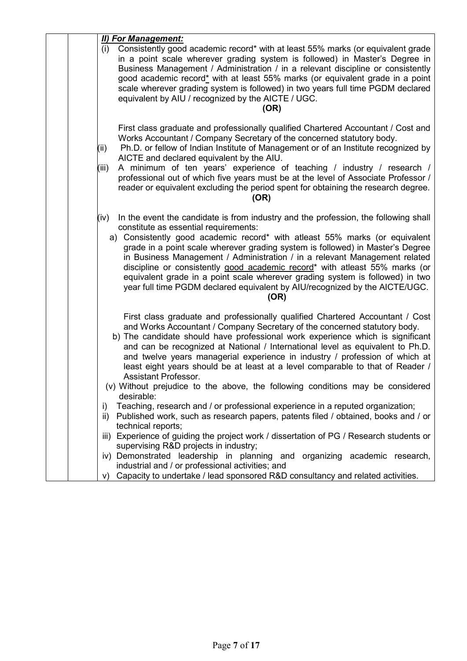| <b>II) For Management:</b><br>(i)<br>Consistently good academic record* with at least 55% marks (or equivalent grade<br>in a point scale wherever grading system is followed) in Master's Degree in<br>Business Management / Administration / in a relevant discipline or consistently<br>good academic record* with at least 55% marks (or equivalent grade in a point<br>scale wherever grading system is followed) in two years full time PGDM declared<br>equivalent by AIU / recognized by the AICTE / UGC.<br>(OR)                                                                                                                   |
|--------------------------------------------------------------------------------------------------------------------------------------------------------------------------------------------------------------------------------------------------------------------------------------------------------------------------------------------------------------------------------------------------------------------------------------------------------------------------------------------------------------------------------------------------------------------------------------------------------------------------------------------|
| First class graduate and professionally qualified Chartered Accountant / Cost and<br>Works Accountant / Company Secretary of the concerned statutory body.<br>Ph.D. or fellow of Indian Institute of Management or of an Institute recognized by<br>(ii)<br>AICTE and declared equivalent by the AIU.<br>A minimum of ten years' experience of teaching / industry / research /<br>(iii)<br>professional out of which five years must be at the level of Associate Professor /<br>reader or equivalent excluding the period spent for obtaining the research degree.<br>(OR)                                                               |
| In the event the candidate is from industry and the profession, the following shall<br>(iv)<br>constitute as essential requirements:<br>a) Consistently good academic record* with atleast 55% marks (or equivalent<br>grade in a point scale wherever grading system is followed) in Master's Degree<br>in Business Management / Administration / in a relevant Management related<br>discipline or consistently good academic record* with atleast 55% marks (or<br>equivalent grade in a point scale wherever grading system is followed) in two<br>year full time PGDM declared equivalent by AIU/recognized by the AICTE/UGC.<br>(OR) |
| First class graduate and professionally qualified Chartered Accountant / Cost<br>and Works Accountant / Company Secretary of the concerned statutory body.<br>b) The candidate should have professional work experience which is significant<br>and can be recognized at National / International level as equivalent to Ph.D.<br>and twelve years managerial experience in industry / profession of which at<br>least eight years should be at least at a level comparable to that of Reader /<br><b>Assistant Professor.</b><br>(v) Without prejudice to the above, the following conditions may be considered                           |
| desirable:<br>Teaching, research and / or professional experience in a reputed organization;<br>i)<br>ii) Published work, such as research papers, patents filed / obtained, books and / or<br>technical reports;<br>iii) Experience of guiding the project work / dissertation of PG / Research students or<br>supervising R&D projects in industry;<br>iv) Demonstrated leadership in planning and organizing academic research,<br>industrial and / or professional activities; and<br>Capacity to undertake / lead sponsored R&D consultancy and related activities.<br>V)                                                             |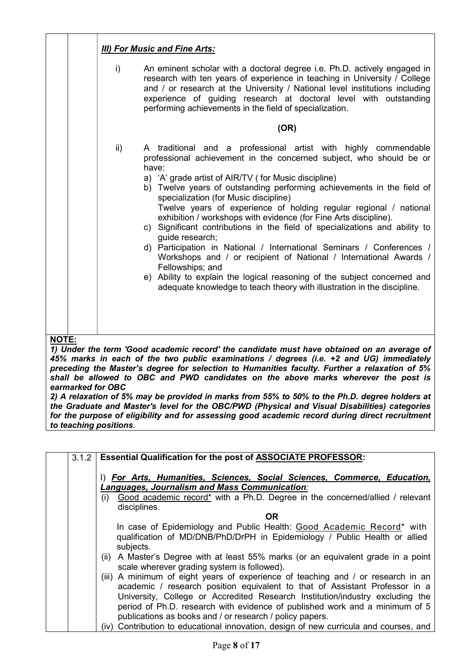III) For Music and Fine Arts:

i) An eminent scholar with a doctoral degree i.e. Ph.D. actively engaged in research with ten years of experience in teaching in University / College and / or research at the University / National level institutions including experience of guiding research at doctoral level with outstanding performing achievements in the field of specialization.

#### (OR)

- ii) A traditional and a professional artist with highly commendable professional achievement in the concerned subject, who should be or have:
	- a) 'A' grade artist of AIR/TV ( for Music discipline)
	- b) Twelve years of outstanding performing achievements in the field of specialization (for Music discipline) Twelve years of experience of holding regular regional / national exhibition / workshops with evidence (for Fine Arts discipline).
	- c) Significant contributions in the field of specializations and ability to guide research;
	- d) Participation in National / International Seminars / Conferences / Workshops and / or recipient of National / International Awards / Fellowships; and
	- e) Ability to explain the logical reasoning of the subject concerned and adequate knowledge to teach theory with illustration in the discipline.

## NOTE:

1) Under the term 'Good academic record' the candidate must have obtained on an average of 45% marks in each of the two public examinations / degrees (i.e. +2 and UG) immediately preceding the Master's degree for selection to Humanities faculty. Further a relaxation of 5% shall be allowed to OBC and PWD candidates on the above marks wherever the post is earmarked for OBC

2) A relaxation of 5% may be provided in marks from 55% to 50% to the Ph.D. degree holders at the Graduate and Master's level for the OBC/PWD (Physical and Visual Disabilities) categories for the purpose of eligibility and for assessing good academic record during direct recruitment to teaching positions.

| 3.1.2 | <b>Essential Qualification for the post of ASSOCIATE PROFESSOR:</b>                   |
|-------|---------------------------------------------------------------------------------------|
|       | I) For Arts, Humanities, Sciences, Social Sciences, Commerce, Education,              |
|       | Languages, Journalism and Mass Communication:                                         |
|       | Good academic record* with a Ph.D. Degree in the concerned/allied / relevant<br>(i)   |
|       | disciplines.                                                                          |
|       | OR.                                                                                   |
|       | In case of Epidemiology and Public Health: Good Academic Record* with                 |
|       | qualification of MD/DNB/PhD/DrPH in Epidemiology / Public Health or allied            |
|       | subjects.                                                                             |
|       | (ii) A Master's Degree with at least 55% marks (or an equivalent grade in a point     |
|       | scale wherever grading system is followed).                                           |
|       | (iii) A minimum of eight years of experience of teaching and / or research in an      |
|       | academic / research position equivalent to that of Assistant Professor in a           |
|       | University, College or Accredited Research Institution/industry excluding the         |
|       | period of Ph.D. research with evidence of published work and a minimum of 5           |
|       | publications as books and / or research / policy papers.                              |
|       | (iv) Contribution to educational innovation, design of new curricula and courses, and |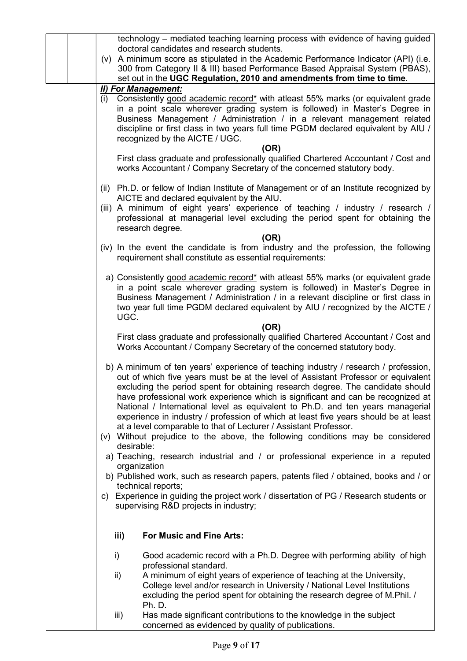|  |     | technology – mediated teaching learning process with evidence of having guided                                                                        |
|--|-----|-------------------------------------------------------------------------------------------------------------------------------------------------------|
|  |     | doctoral candidates and research students.                                                                                                            |
|  |     | (v) A minimum score as stipulated in the Academic Performance Indicator (API) (i.e.                                                                   |
|  |     | 300 from Category II & III) based Performance Based Appraisal System (PBAS),<br>set out in the UGC Regulation, 2010 and amendments from time to time. |
|  |     | II) For Management:                                                                                                                                   |
|  | (i) | Consistently good academic record* with atleast 55% marks (or equivalent grade                                                                        |
|  |     | in a point scale wherever grading system is followed) in Master's Degree in                                                                           |
|  |     | Business Management / Administration / in a relevant management related                                                                               |
|  |     | discipline or first class in two years full time PGDM declared equivalent by AIU /                                                                    |
|  |     | recognized by the AICTE / UGC.                                                                                                                        |
|  |     | (OR)                                                                                                                                                  |
|  |     | First class graduate and professionally qualified Chartered Accountant / Cost and                                                                     |
|  |     | works Accountant / Company Secretary of the concerned statutory body.                                                                                 |
|  |     | (ii) Ph.D. or fellow of Indian Institute of Management or of an Institute recognized by                                                               |
|  |     | AICTE and declared equivalent by the AIU.                                                                                                             |
|  |     | (iii) A minimum of eight years' experience of teaching / industry / research /                                                                        |
|  |     | professional at managerial level excluding the period spent for obtaining the                                                                         |
|  |     | research degree.                                                                                                                                      |
|  |     | (OR)                                                                                                                                                  |
|  |     | (iv) In the event the candidate is from industry and the profession, the following                                                                    |
|  |     | requirement shall constitute as essential requirements:                                                                                               |
|  |     | a) Consistently good academic record* with atleast 55% marks (or equivalent grade                                                                     |
|  |     | in a point scale wherever grading system is followed) in Master's Degree in                                                                           |
|  |     | Business Management / Administration / in a relevant discipline or first class in                                                                     |
|  |     | two year full time PGDM declared equivalent by AIU / recognized by the AICTE /                                                                        |
|  |     | UGC.                                                                                                                                                  |
|  |     | (OR)                                                                                                                                                  |
|  |     | First class graduate and professionally qualified Chartered Accountant / Cost and                                                                     |
|  |     | Works Accountant / Company Secretary of the concerned statutory body.                                                                                 |
|  |     | b) A minimum of ten years' experience of teaching industry / research / profession,                                                                   |
|  |     | out of which five years must be at the level of Assistant Professor or equivalent                                                                     |
|  |     | excluding the period spent for obtaining research degree. The candidate should                                                                        |
|  |     | have professional work experience which is significant and can be recognized at                                                                       |
|  |     | National / International level as equivalent to Ph.D. and ten years managerial                                                                        |
|  |     | experience in industry / profession of which at least five years should be at least                                                                   |
|  |     | at a level comparable to that of Lecturer / Assistant Professor.<br>(v) Without prejudice to the above, the following conditions may be considered    |
|  |     | desirable:                                                                                                                                            |
|  |     | a) Teaching, research industrial and / or professional experience in a reputed                                                                        |
|  |     | organization                                                                                                                                          |
|  |     | b) Published work, such as research papers, patents filed / obtained, books and / or                                                                  |
|  |     | technical reports;                                                                                                                                    |
|  | C)  | Experience in guiding the project work / dissertation of PG / Research students or                                                                    |
|  |     | supervising R&D projects in industry;                                                                                                                 |
|  |     |                                                                                                                                                       |
|  |     | For Music and Fine Arts:<br>iii)                                                                                                                      |
|  |     | i)<br>Good academic record with a Ph.D. Degree with performing ability of high                                                                        |
|  |     | professional standard.                                                                                                                                |
|  |     | ii)<br>A minimum of eight years of experience of teaching at the University,                                                                          |
|  |     | College level and/or research in University / National Level Institutions                                                                             |
|  |     | excluding the period spent for obtaining the research degree of M.Phil. /                                                                             |
|  |     | <b>Ph. D.</b>                                                                                                                                         |
|  |     | iii)<br>Has made significant contributions to the knowledge in the subject<br>concerned as evidenced by quality of publications.                      |
|  |     |                                                                                                                                                       |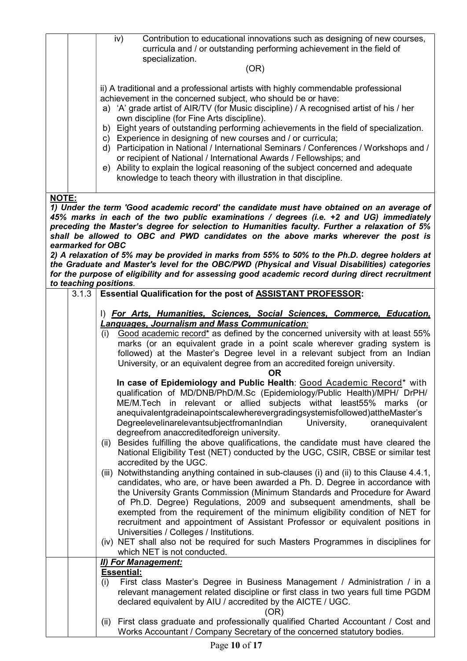|                                             | iv)<br>Contribution to educational innovations such as designing of new courses,                                                                                                                                                                                                                                                                                                                                                                                                                                                                                                                                                                                                                                                                                                                                                                                                                                                                                                                                                                                                                                                                                                                                                                                                                                            |
|---------------------------------------------|-----------------------------------------------------------------------------------------------------------------------------------------------------------------------------------------------------------------------------------------------------------------------------------------------------------------------------------------------------------------------------------------------------------------------------------------------------------------------------------------------------------------------------------------------------------------------------------------------------------------------------------------------------------------------------------------------------------------------------------------------------------------------------------------------------------------------------------------------------------------------------------------------------------------------------------------------------------------------------------------------------------------------------------------------------------------------------------------------------------------------------------------------------------------------------------------------------------------------------------------------------------------------------------------------------------------------------|
|                                             | curricula and / or outstanding performing achievement in the field of<br>specialization.                                                                                                                                                                                                                                                                                                                                                                                                                                                                                                                                                                                                                                                                                                                                                                                                                                                                                                                                                                                                                                                                                                                                                                                                                                    |
|                                             | (OR)                                                                                                                                                                                                                                                                                                                                                                                                                                                                                                                                                                                                                                                                                                                                                                                                                                                                                                                                                                                                                                                                                                                                                                                                                                                                                                                        |
|                                             | ii) A traditional and a professional artists with highly commendable professional<br>achievement in the concerned subject, who should be or have:<br>a) 'A' grade artist of AIR/TV (for Music discipline) / A recognised artist of his / her<br>own discipline (for Fine Arts discipline).<br>b) Eight years of outstanding performing achievements in the field of specialization.<br>c) Experience in designing of new courses and / or curricula;<br>d) Participation in National / International Seminars / Conferences / Workshops and /<br>or recipient of National / International Awards / Fellowships; and<br>e) Ability to explain the logical reasoning of the subject concerned and adequate<br>knowledge to teach theory with illustration in that discipline.                                                                                                                                                                                                                                                                                                                                                                                                                                                                                                                                                 |
| <b>NOTE:</b>                                |                                                                                                                                                                                                                                                                                                                                                                                                                                                                                                                                                                                                                                                                                                                                                                                                                                                                                                                                                                                                                                                                                                                                                                                                                                                                                                                             |
| earmarked for OBC<br>to teaching positions. | 1) Under the term 'Good academic record' the candidate must have obtained on an average of<br>45% marks in each of the two public examinations / degrees (i.e. +2 and UG) immediately<br>preceding the Master's degree for selection to Humanities faculty. Further a relaxation of 5%<br>shall be allowed to OBC and PWD candidates on the above marks wherever the post is<br>2) A relaxation of 5% may be provided in marks from 55% to 50% to the Ph.D. degree holders at<br>the Graduate and Master's level for the OBC/PWD (Physical and Visual Disabilities) categories<br>for the purpose of eligibility and for assessing good academic record during direct recruitment                                                                                                                                                                                                                                                                                                                                                                                                                                                                                                                                                                                                                                           |
| 3.1.3                                       | <b>Essential Qualification for the post of ASSISTANT PROFESSOR:</b>                                                                                                                                                                                                                                                                                                                                                                                                                                                                                                                                                                                                                                                                                                                                                                                                                                                                                                                                                                                                                                                                                                                                                                                                                                                         |
|                                             | I) For Arts, Humanities, Sciences, Social Sciences, Commerce, Education,<br><b>Languages, Journalism and Mass Communication:</b><br>Good academic record* as defined by the concerned university with at least 55%<br>(i)<br>marks (or an equivalent grade in a point scale wherever grading system is<br>followed) at the Master's Degree level in a relevant subject from an Indian<br>University, or an equivalent degree from an accredited foreign university.                                                                                                                                                                                                                                                                                                                                                                                                                                                                                                                                                                                                                                                                                                                                                                                                                                                         |
|                                             | OR<br>In case of Epidemiology and Public Health: Good Academic Record* with<br>qualification of MD/DNB/PhD/M.Sc (Epidemiology/Public Health)/MPH/ DrPH/<br>ME/M.Tech in relevant or allied subjects withat least55% marks (or<br>anequivalentgradeinapointscalewherevergradingsystemisfollowed)attheMaster's<br>DegreelevelinarelevantsubjectfromanIndian<br>University,<br>oranequivalent<br>degreefrom anaccreditedforeign university.<br>Besides fulfilling the above qualifications, the candidate must have cleared the<br>(ii)<br>National Eligibility Test (NET) conducted by the UGC, CSIR, CBSE or similar test<br>accredited by the UGC.<br>(iii) Notwithstanding anything contained in sub-clauses (i) and (ii) to this Clause 4.4.1,<br>candidates, who are, or have been awarded a Ph. D. Degree in accordance with<br>the University Grants Commission (Minimum Standards and Procedure for Award<br>of Ph.D. Degree) Regulations, 2009 and subsequent amendments, shall be<br>exempted from the requirement of the minimum eligibility condition of NET for<br>recruitment and appointment of Assistant Professor or equivalent positions in<br>Universities / Colleges / Institutions.<br>(iv) NET shall also not be required for such Masters Programmes in disciplines for<br>which NET is not conducted. |
|                                             | <b>II) For Management:</b>                                                                                                                                                                                                                                                                                                                                                                                                                                                                                                                                                                                                                                                                                                                                                                                                                                                                                                                                                                                                                                                                                                                                                                                                                                                                                                  |
|                                             | <b>Essential:</b><br>First class Master's Degree in Business Management / Administration / in a<br>(i)<br>relevant management related discipline or first class in two years full time PGDM<br>declared equivalent by AIU / accredited by the AICTE / UGC.<br>(OR)                                                                                                                                                                                                                                                                                                                                                                                                                                                                                                                                                                                                                                                                                                                                                                                                                                                                                                                                                                                                                                                          |
|                                             | First class graduate and professionally qualified Charted Accountant / Cost and<br>(ii)<br>Works Accountant / Company Secretary of the concerned statutory bodies.                                                                                                                                                                                                                                                                                                                                                                                                                                                                                                                                                                                                                                                                                                                                                                                                                                                                                                                                                                                                                                                                                                                                                          |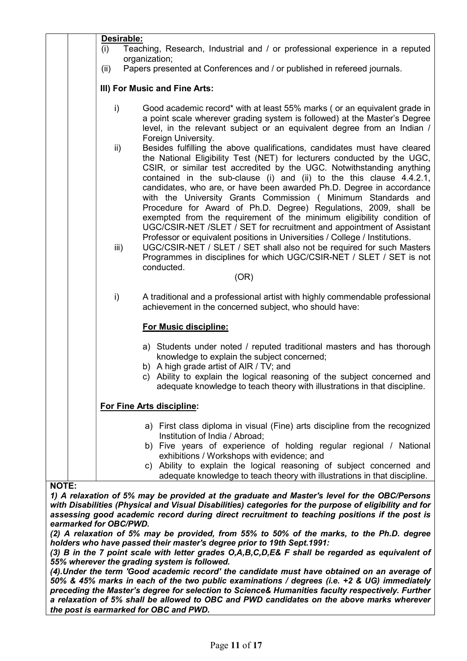|              | Desirable:<br>Teaching, Research, Industrial and / or professional experience in a reputed<br>(i)                                                                                                                                                                                                                                                                                                                                                                                                                                                                                                                                                                                                                                                                                                                                           |
|--------------|---------------------------------------------------------------------------------------------------------------------------------------------------------------------------------------------------------------------------------------------------------------------------------------------------------------------------------------------------------------------------------------------------------------------------------------------------------------------------------------------------------------------------------------------------------------------------------------------------------------------------------------------------------------------------------------------------------------------------------------------------------------------------------------------------------------------------------------------|
|              | organization;                                                                                                                                                                                                                                                                                                                                                                                                                                                                                                                                                                                                                                                                                                                                                                                                                               |
|              | Papers presented at Conferences and / or published in refereed journals.<br>(ii)                                                                                                                                                                                                                                                                                                                                                                                                                                                                                                                                                                                                                                                                                                                                                            |
|              | III) For Music and Fine Arts:                                                                                                                                                                                                                                                                                                                                                                                                                                                                                                                                                                                                                                                                                                                                                                                                               |
|              | i)<br>Good academic record* with at least 55% marks (or an equivalent grade in<br>a point scale wherever grading system is followed) at the Master's Degree<br>level, in the relevant subject or an equivalent degree from an Indian /<br>Foreign University.                                                                                                                                                                                                                                                                                                                                                                                                                                                                                                                                                                               |
|              | ii)<br>Besides fulfilling the above qualifications, candidates must have cleared<br>the National Eligibility Test (NET) for lecturers conducted by the UGC,<br>CSIR, or similar test accredited by the UGC. Notwithstanding anything<br>contained in the sub-clause (i) and (ii) to the this clause 4.4.2.1,<br>candidates, who are, or have been awarded Ph.D. Degree in accordance<br>with the University Grants Commission ( Minimum Standards and<br>Procedure for Award of Ph.D. Degree) Regulations, 2009, shall be<br>exempted from the requirement of the minimum eligibility condition of<br>UGC/CSIR-NET /SLET / SET for recruitment and appointment of Assistant<br>Professor or equivalent positions in Universities / College / Institutions.<br>UGC/CSIR-NET / SLET / SET shall also not be required for such Masters<br>iii) |
|              | Programmes in disciplines for which UGC/CSIR-NET / SLET / SET is not<br>conducted.                                                                                                                                                                                                                                                                                                                                                                                                                                                                                                                                                                                                                                                                                                                                                          |
|              | (OR)                                                                                                                                                                                                                                                                                                                                                                                                                                                                                                                                                                                                                                                                                                                                                                                                                                        |
|              | i)<br>A traditional and a professional artist with highly commendable professional<br>achievement in the concerned subject, who should have:                                                                                                                                                                                                                                                                                                                                                                                                                                                                                                                                                                                                                                                                                                |
|              | <b>For Music discipline:</b>                                                                                                                                                                                                                                                                                                                                                                                                                                                                                                                                                                                                                                                                                                                                                                                                                |
|              | a) Students under noted / reputed traditional masters and has thorough<br>knowledge to explain the subject concerned;<br>b) A high grade artist of AIR / TV; and<br>c) Ability to explain the logical reasoning of the subject concerned and<br>adequate knowledge to teach theory with illustrations in that discipline.                                                                                                                                                                                                                                                                                                                                                                                                                                                                                                                   |
|              | For Fine Arts discipline:                                                                                                                                                                                                                                                                                                                                                                                                                                                                                                                                                                                                                                                                                                                                                                                                                   |
|              | a) First class diploma in visual (Fine) arts discipline from the recognized<br>Institution of India / Abroad;<br>b) Five years of experience of holding regular regional / National<br>exhibitions / Workshops with evidence; and<br>c) Ability to explain the logical reasoning of subject concerned and<br>adequate knowledge to teach theory with illustrations in that discipline.                                                                                                                                                                                                                                                                                                                                                                                                                                                      |
| <b>NOTE:</b> | 1) A relaxation of 5% may be provided at the graduate and Master's level for the OBC/Persons<br>with Disabilities (Physical and Visual Disabilities) categories for the purpose of eligibility and for<br>assessing good academic record during direct recruitment to teaching positions if the post is<br>earmarked for OBC/PWD.<br>(2) A relaxation of 5% may be provided, from 55% to 50% of the marks, to the Ph.D. degree<br>holders who have passed their master's degree prior to 19th Sept.1991:                                                                                                                                                                                                                                                                                                                                    |

(3) B in the 7 point scale with letter grades O,A,B,C,D,E& F shall be regarded as equivalent of 55% wherever the grading system is followed.

(4).Under the term 'Good academic record' the candidate must have obtained on an average of 50% & 45% marks in each of the two public examinations / degrees (i.e. +2 & UG) immediately preceding the Master's degree for selection to Science& Humanities faculty respectively. Further a relaxation of 5% shall be allowed to OBC and PWD candidates on the above marks wherever the post is earmarked for OBC and PWD.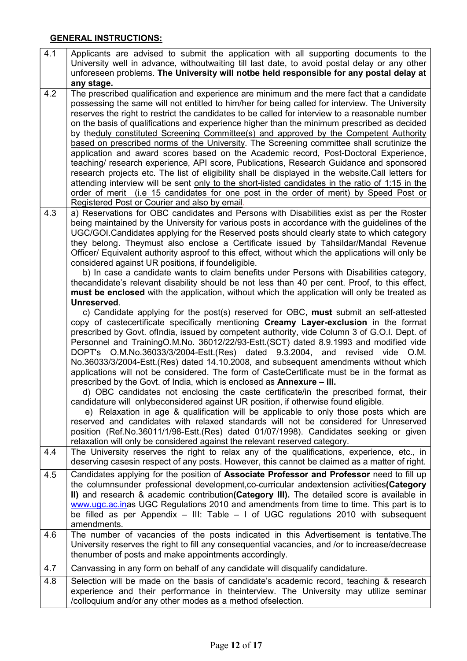| 4.1 | Applicants are advised to submit the application with all supporting documents to the<br>University well in advance, withoutwaiting till last date, to avoid postal delay or any other<br>unforeseen problems. The University will notbe held responsible for any postal delay at                                                                                                                                                                                                                                                                                                                                                                                                                                                                                                                                                                                                                                                                                                                                                                                                                                                                                                                                                                                                                                                                                                                                                                                                                                                                                                                                                                                                                                                                                                                                                                                                                                                                                                                           |
|-----|-------------------------------------------------------------------------------------------------------------------------------------------------------------------------------------------------------------------------------------------------------------------------------------------------------------------------------------------------------------------------------------------------------------------------------------------------------------------------------------------------------------------------------------------------------------------------------------------------------------------------------------------------------------------------------------------------------------------------------------------------------------------------------------------------------------------------------------------------------------------------------------------------------------------------------------------------------------------------------------------------------------------------------------------------------------------------------------------------------------------------------------------------------------------------------------------------------------------------------------------------------------------------------------------------------------------------------------------------------------------------------------------------------------------------------------------------------------------------------------------------------------------------------------------------------------------------------------------------------------------------------------------------------------------------------------------------------------------------------------------------------------------------------------------------------------------------------------------------------------------------------------------------------------------------------------------------------------------------------------------------------------|
|     | any stage.                                                                                                                                                                                                                                                                                                                                                                                                                                                                                                                                                                                                                                                                                                                                                                                                                                                                                                                                                                                                                                                                                                                                                                                                                                                                                                                                                                                                                                                                                                                                                                                                                                                                                                                                                                                                                                                                                                                                                                                                  |
| 4.2 | The prescribed qualification and experience are minimum and the mere fact that a candidate<br>possessing the same will not entitled to him/her for being called for interview. The University<br>reserves the right to restrict the candidates to be called for interview to a reasonable number<br>on the basis of qualifications and experience higher than the minimum prescribed as decided<br>by theduly constituted Screening Committee(s) and approved by the Competent Authority<br>based on prescribed norms of the University. The Screening committee shall scrutinize the<br>application and award scores based on the Academic record, Post-Doctoral Experience,                                                                                                                                                                                                                                                                                                                                                                                                                                                                                                                                                                                                                                                                                                                                                                                                                                                                                                                                                                                                                                                                                                                                                                                                                                                                                                                               |
|     | teaching/ research experience, API score, Publications, Research Guidance and sponsored<br>research projects etc. The list of eligibility shall be displayed in the website.Call letters for<br>attending interview will be sent only to the short-listed candidates in the ratio of 1:15 in the                                                                                                                                                                                                                                                                                                                                                                                                                                                                                                                                                                                                                                                                                                                                                                                                                                                                                                                                                                                                                                                                                                                                                                                                                                                                                                                                                                                                                                                                                                                                                                                                                                                                                                            |
|     | order of merit (i.e 15 candidates for one post in the order of merit) by Speed Post or                                                                                                                                                                                                                                                                                                                                                                                                                                                                                                                                                                                                                                                                                                                                                                                                                                                                                                                                                                                                                                                                                                                                                                                                                                                                                                                                                                                                                                                                                                                                                                                                                                                                                                                                                                                                                                                                                                                      |
| 4.3 | Registered Post or Courier and also by email.<br>a) Reservations for OBC candidates and Persons with Disabilities exist as per the Roster<br>being maintained by the University for various posts in accordance with the guidelines of the<br>UGC/GOI.Candidates applying for the Reserved posts should clearly state to which category<br>they belong. Theymust also enclose a Certificate issued by Tahsildar/Mandal Revenue<br>Officer/ Equivalent authority asproof to this effect, without which the applications will only be<br>considered against UR positions, if foundeligible.<br>b) In case a candidate wants to claim benefits under Persons with Disabilities category,<br>thecandidate's relevant disability should be not less than 40 per cent. Proof, to this effect,<br>must be enclosed with the application, without which the application will only be treated as<br>Unreserved.<br>c) Candidate applying for the post(s) reserved for OBC, must submit an self-attested<br>copy of castecertificate specifically mentioning Creamy Layer-exclusion in the format<br>prescribed by Govt. ofIndia, issued by competent authority, vide Column 3 of G.O.I. Dept. of<br>Personnel and TrainingO.M.No. 36012/22/93-Estt.(SCT) dated 8.9.1993 and modified vide<br>DOPT's O.M.No.36033/3/2004-Estt.(Res) dated 9.3.2004, and revised vide<br>O.M.<br>No.36033/3/2004-Estt. (Res) dated 14.10.2008, and subsequent amendments without which<br>applications will not be considered. The form of CasteCertificate must be in the format as<br>prescribed by the Govt. of India, which is enclosed as <b>Annexure - III.</b><br>d) OBC candidates not enclosing the caste certificate/in the prescribed format, their<br>candidature will onlybeconsidered against UR position, if otherwise found eligible.<br>e) Relaxation in age & qualification will be applicable to only those posts which are<br>reserved and candidates with relaxed standards will not be considered for Unreserved |
|     | position (Ref.No.36011/1/98-Estt.(Res) dated 01/07/1998). Candidates seeking or given                                                                                                                                                                                                                                                                                                                                                                                                                                                                                                                                                                                                                                                                                                                                                                                                                                                                                                                                                                                                                                                                                                                                                                                                                                                                                                                                                                                                                                                                                                                                                                                                                                                                                                                                                                                                                                                                                                                       |
|     | relaxation will only be considered against the relevant reserved category.                                                                                                                                                                                                                                                                                                                                                                                                                                                                                                                                                                                                                                                                                                                                                                                                                                                                                                                                                                                                                                                                                                                                                                                                                                                                                                                                                                                                                                                                                                                                                                                                                                                                                                                                                                                                                                                                                                                                  |
| 4.4 | The University reserves the right to relax any of the qualifications, experience, etc., in<br>deserving casesin respect of any posts. However, this cannot be claimed as a matter of right.                                                                                                                                                                                                                                                                                                                                                                                                                                                                                                                                                                                                                                                                                                                                                                                                                                                                                                                                                                                                                                                                                                                                                                                                                                                                                                                                                                                                                                                                                                                                                                                                                                                                                                                                                                                                                 |
| 4.5 | Candidates applying for the position of Associate Professor and Professor need to fill up<br>the columnsunder professional development, co-curricular andextension activities (Category<br>II) and research & academic contribution(Category III). The detailed score is available in<br>www.ugc.ac.inas UGC Regulations 2010 and amendments from time to time. This part is to<br>be filled as per Appendix - III: Table - I of UGC regulations 2010 with subsequent<br>amendments.                                                                                                                                                                                                                                                                                                                                                                                                                                                                                                                                                                                                                                                                                                                                                                                                                                                                                                                                                                                                                                                                                                                                                                                                                                                                                                                                                                                                                                                                                                                        |
| 4.6 | The number of vacancies of the posts indicated in this Advertisement is tentative. The<br>University reserves the right to fill any consequential vacancies, and /or to increase/decrease<br>thenumber of posts and make appointments accordingly.                                                                                                                                                                                                                                                                                                                                                                                                                                                                                                                                                                                                                                                                                                                                                                                                                                                                                                                                                                                                                                                                                                                                                                                                                                                                                                                                                                                                                                                                                                                                                                                                                                                                                                                                                          |
| 4.7 | Canvassing in any form on behalf of any candidate will disqualify candidature.                                                                                                                                                                                                                                                                                                                                                                                                                                                                                                                                                                                                                                                                                                                                                                                                                                                                                                                                                                                                                                                                                                                                                                                                                                                                                                                                                                                                                                                                                                                                                                                                                                                                                                                                                                                                                                                                                                                              |
| 4.8 | Selection will be made on the basis of candidate's academic record, teaching & research<br>experience and their performance in theinterview. The University may utilize seminar<br>/colloquium and/or any other modes as a method ofselection.                                                                                                                                                                                                                                                                                                                                                                                                                                                                                                                                                                                                                                                                                                                                                                                                                                                                                                                                                                                                                                                                                                                                                                                                                                                                                                                                                                                                                                                                                                                                                                                                                                                                                                                                                              |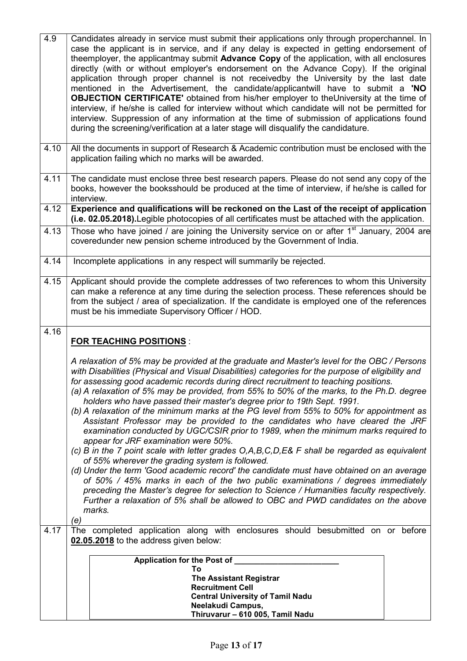| 4.9  | Candidates already in service must submit their applications only through properchannel. In<br>case the applicant is in service, and if any delay is expected in getting endorsement of<br>theemployer, the applicantmay submit <b>Advance Copy</b> of the application, with all enclosures<br>directly (with or without employer's endorsement on the Advance Copy). If the original<br>application through proper channel is not receivedby the University by the last date<br>mentioned in the Advertisement, the candidate/applicantwill have to submit a 'NO<br><b>OBJECTION CERTIFICATE'</b> obtained from his/her employer to the University at the time of<br>interview, if he/she is called for interview without which candidate will not be permitted for<br>interview. Suppression of any information at the time of submission of applications found<br>during the screening/verification at a later stage will disqualify the candidature.                                                                                                                                                                                                                                                                                                                                                             |  |  |  |  |  |
|------|----------------------------------------------------------------------------------------------------------------------------------------------------------------------------------------------------------------------------------------------------------------------------------------------------------------------------------------------------------------------------------------------------------------------------------------------------------------------------------------------------------------------------------------------------------------------------------------------------------------------------------------------------------------------------------------------------------------------------------------------------------------------------------------------------------------------------------------------------------------------------------------------------------------------------------------------------------------------------------------------------------------------------------------------------------------------------------------------------------------------------------------------------------------------------------------------------------------------------------------------------------------------------------------------------------------------|--|--|--|--|--|
| 4.10 | All the documents in support of Research & Academic contribution must be enclosed with the<br>application failing which no marks will be awarded.                                                                                                                                                                                                                                                                                                                                                                                                                                                                                                                                                                                                                                                                                                                                                                                                                                                                                                                                                                                                                                                                                                                                                                    |  |  |  |  |  |
| 4.11 | The candidate must enclose three best research papers. Please do not send any copy of the<br>books, however the booksshould be produced at the time of interview, if he/she is called for<br>interview.                                                                                                                                                                                                                                                                                                                                                                                                                                                                                                                                                                                                                                                                                                                                                                                                                                                                                                                                                                                                                                                                                                              |  |  |  |  |  |
| 4.12 | Experience and qualifications will be reckoned on the Last of the receipt of application<br>(i.e. 02.05.2018). Legible photocopies of all certificates must be attached with the application.                                                                                                                                                                                                                                                                                                                                                                                                                                                                                                                                                                                                                                                                                                                                                                                                                                                                                                                                                                                                                                                                                                                        |  |  |  |  |  |
| 4.13 | Those who have joined / are joining the University service on or after 1 <sup>st</sup> January, 2004 are<br>coveredunder new pension scheme introduced by the Government of India.                                                                                                                                                                                                                                                                                                                                                                                                                                                                                                                                                                                                                                                                                                                                                                                                                                                                                                                                                                                                                                                                                                                                   |  |  |  |  |  |
| 4.14 | Incomplete applications in any respect will summarily be rejected.                                                                                                                                                                                                                                                                                                                                                                                                                                                                                                                                                                                                                                                                                                                                                                                                                                                                                                                                                                                                                                                                                                                                                                                                                                                   |  |  |  |  |  |
| 4.15 | Applicant should provide the complete addresses of two references to whom this University<br>can make a reference at any time during the selection process. These references should be<br>from the subject / area of specialization. If the candidate is employed one of the references<br>must be his immediate Supervisory Officer / HOD.                                                                                                                                                                                                                                                                                                                                                                                                                                                                                                                                                                                                                                                                                                                                                                                                                                                                                                                                                                          |  |  |  |  |  |
| 4.16 | <b>FOR TEACHING POSITIONS:</b>                                                                                                                                                                                                                                                                                                                                                                                                                                                                                                                                                                                                                                                                                                                                                                                                                                                                                                                                                                                                                                                                                                                                                                                                                                                                                       |  |  |  |  |  |
|      | A relaxation of 5% may be provided at the graduate and Master's level for the OBC / Persons<br>with Disabilities (Physical and Visual Disabilities) categories for the purpose of eligibility and<br>for assessing good academic records during direct recruitment to teaching positions.<br>(a) A relaxation of 5% may be provided, from 55% to 50% of the marks, to the Ph.D. degree<br>holders who have passed their master's degree prior to 19th Sept. 1991.<br>(b) A relaxation of the minimum marks at the PG level from 55% to 50% for appointment as<br>Assistant Professor may be provided to the candidates who have cleared the JRF<br>examination conducted by UGC/CSIR prior to 1989, when the minimum marks required to<br>appear for JRF examination were 50%.<br>(c) B in the 7 point scale with letter grades O,A,B,C,D,E& F shall be regarded as equivalent<br>of 55% wherever the grading system is followed.<br>(d) Under the term 'Good academic record' the candidate must have obtained on an average<br>of 50% / 45% marks in each of the two public examinations / degrees immediately<br>preceding the Master's degree for selection to Science / Humanities faculty respectively.<br>Further a relaxation of 5% shall be allowed to OBC and PWD candidates on the above<br>marks.<br>(e) |  |  |  |  |  |
| 4.17 | The completed application along with enclosures should besubmitted on or before                                                                                                                                                                                                                                                                                                                                                                                                                                                                                                                                                                                                                                                                                                                                                                                                                                                                                                                                                                                                                                                                                                                                                                                                                                      |  |  |  |  |  |
|      | 02.05.2018 to the address given below:<br>Application for the Post of                                                                                                                                                                                                                                                                                                                                                                                                                                                                                                                                                                                                                                                                                                                                                                                                                                                                                                                                                                                                                                                                                                                                                                                                                                                |  |  |  |  |  |
|      | Тο<br><b>The Assistant Registrar</b><br><b>Recruitment Cell</b><br><b>Central University of Tamil Nadu</b><br>Neelakudi Campus,<br>Thiruvarur - 610 005, Tamil Nadu                                                                                                                                                                                                                                                                                                                                                                                                                                                                                                                                                                                                                                                                                                                                                                                                                                                                                                                                                                                                                                                                                                                                                  |  |  |  |  |  |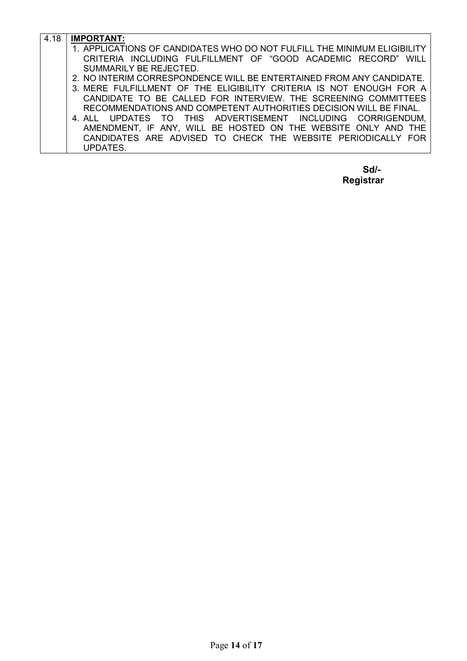| 4.18 | <b>IMPORTANT:</b>                                                        |
|------|--------------------------------------------------------------------------|
|      | 1. APPLICATIONS OF CANDIDATES WHO DO NOT FULFILL THE MINIMUM ELIGIBILITY |
|      | CRITERIA INCLUDING FULFILLMENT OF "GOOD ACADEMIC RECORD" WILL            |
|      | SUMMARILY BE REJECTED.                                                   |
|      | 2. NO INTERIM CORRESPONDENCE WILL BE ENTERTAINED FROM ANY CANDIDATE.     |
|      | 3. MERE FULFILLMENT OF THE ELIGIBILITY CRITERIA IS NOT ENOUGH FOR A      |
|      | CANDIDATE TO BE CALLED FOR INTERVIEW. THE SCREENING COMMITTEES           |
|      | RECOMMENDATIONS AND COMPETENT AUTHORITIES DECISION WILL BE FINAL.        |
|      | 4. ALL UPDATES TO THIS ADVERTISEMENT INCLUDING CORRIGENDUM,              |
|      | AMENDMENT, IF ANY, WILL BE HOSTED ON THE WEBSITE ONLY AND THE            |
|      | CANDIDATES ARE ADVISED TO CHECK THE WEBSITE PERIODICALLY FOR             |
|      | <b>UPDATES.</b>                                                          |

 Sd/- Registrar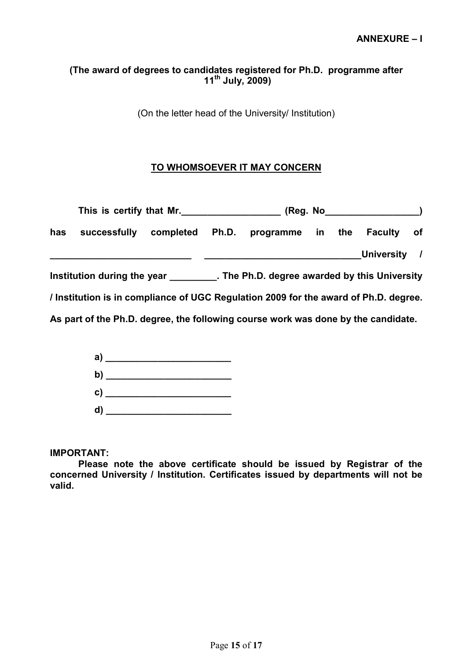## (The award of degrees to candidates registered for Ph.D. programme after  $11^{th}$  July, 2009)

(On the letter head of the University/ Institution)

## TO WHOMSOEVER IT MAY CONCERN

|                                                                                     | This is certify that Mr.                                                             |           |       | (Reg. No <b>Reg. 1997)</b> |  |  |                |    |
|-------------------------------------------------------------------------------------|--------------------------------------------------------------------------------------|-----------|-------|----------------------------|--|--|----------------|----|
| has                                                                                 | successfully                                                                         | completed | Ph.D. | programme in the           |  |  | <b>Faculty</b> | of |
|                                                                                     |                                                                                      |           |       |                            |  |  | University /   |    |
| Institution during the year __________. The Ph.D. degree awarded by this University |                                                                                      |           |       |                            |  |  |                |    |
|                                                                                     | / Institution is in compliance of UGC Regulation 2009 for the award of Ph.D. degree. |           |       |                            |  |  |                |    |
|                                                                                     | As part of the Ph.D. degree, the following course work was done by the candidate.    |           |       |                            |  |  |                |    |
|                                                                                     |                                                                                      |           |       |                            |  |  |                |    |

| a)  |                                      |
|-----|--------------------------------------|
| b)  |                                      |
| c). | <u> 1970 - Jan Barat, primeira e</u> |
| d)  |                                      |

IMPORTANT:

Please note the above certificate should be issued by Registrar of the concerned University / Institution. Certificates issued by departments will not be valid.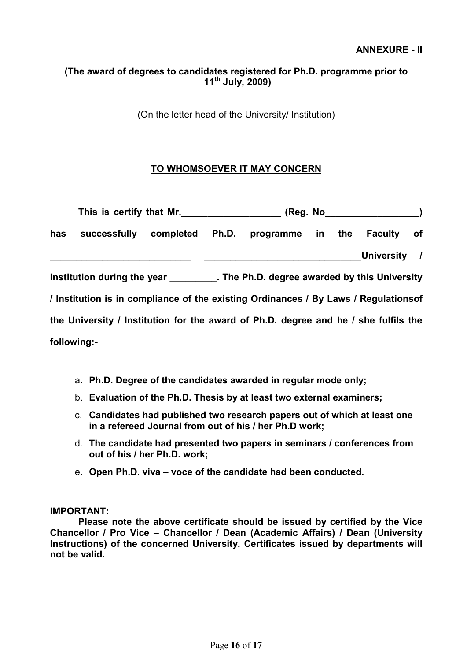#### (The award of degrees to candidates registered for Ph.D. programme prior to  $11^{th}$  July, 2009)

(On the letter head of the University/ Institution)

# TO WHOMSOEVER IT MAY CONCERN

|     | This is certify that Mr.                                                            |           |       | (Reg. No <b>matrices</b> ) |  |  |                |    |  |  |
|-----|-------------------------------------------------------------------------------------|-----------|-------|----------------------------|--|--|----------------|----|--|--|
| has | successfully                                                                        | completed | Ph.D. | programme in the           |  |  | <b>Faculty</b> | of |  |  |
|     |                                                                                     |           |       |                            |  |  | University /   |    |  |  |
|     | Institution during the year __________. The Ph.D. degree awarded by this University |           |       |                            |  |  |                |    |  |  |
|     | / Institution is in compliance of the existing Ordinances / By Laws / Regulationsof |           |       |                            |  |  |                |    |  |  |
|     | the University / Institution for the award of Ph.D. degree and he / she fulfils the |           |       |                            |  |  |                |    |  |  |
|     | following:-                                                                         |           |       |                            |  |  |                |    |  |  |

- a. Ph.D. Degree of the candidates awarded in regular mode only;
- b. Evaluation of the Ph.D. Thesis by at least two external examiners;
- c. Candidates had published two research papers out of which at least one in a refereed Journal from out of his / her Ph.D work;
- d. The candidate had presented two papers in seminars / conferences from out of his / her Ph.D. work;
- e. Open Ph.D. viva voce of the candidate had been conducted.

#### IMPORTANT:

Please note the above certificate should be issued by certified by the Vice Chancellor / Pro Vice – Chancellor / Dean (Academic Affairs) / Dean (University Instructions) of the concerned University. Certificates issued by departments will not be valid.